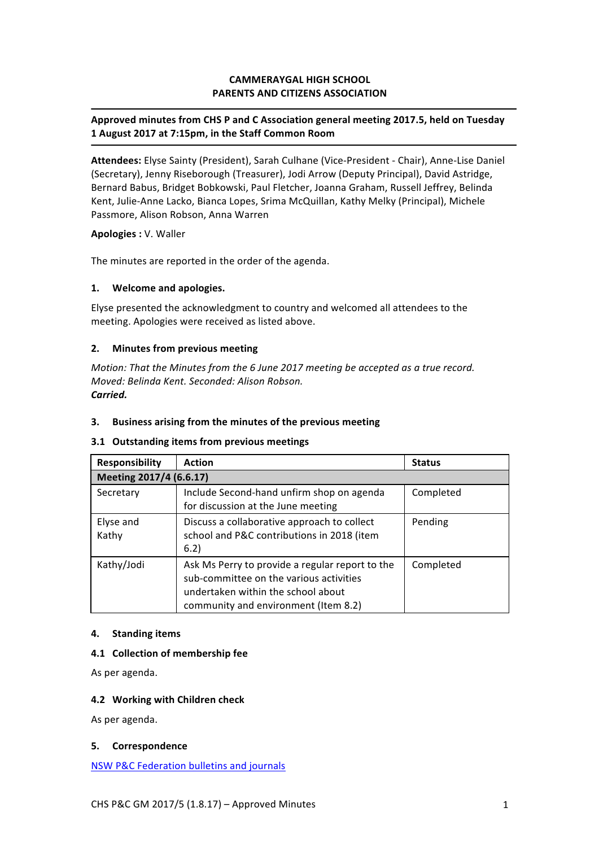# **CAMMERAYGAL HIGH SCHOOL PARENTS AND CITIZENS ASSOCIATION**

# Approved minutes from CHS P and C Association general meeting 2017.5, held on Tuesday **1 August 2017 at 7:15pm, in the Staff Common Room**

Attendees: Elyse Sainty (President), Sarah Culhane (Vice-President - Chair), Anne-Lise Daniel (Secretary), Jenny Riseborough (Treasurer), Jodi Arrow (Deputy Principal), David Astridge, Bernard Babus, Bridget Bobkowski, Paul Fletcher, Joanna Graham, Russell Jeffrey, Belinda Kent, Julie-Anne Lacko, Bianca Lopes, Srima McQuillan, Kathy Melky (Principal), Michele Passmore, Alison Robson, Anna Warren

### **Apologies :** V. Waller

The minutes are reported in the order of the agenda.

## **1. Welcome and apologies.**

Elyse presented the acknowledgment to country and welcomed all attendees to the meeting. Apologies were received as listed above.

# **2.** Minutes from previous meeting

*Motion: That the Minutes from the 6 June 2017 meeting be accepted as a true record. Moved: Belinda Kent. Seconded: Alison Robson. Carried.*

## **3.** Business arising from the minutes of the previous meeting

## **3.1 Outstanding items from previous meetings**

| <b>Responsibility</b>   | <b>Action</b>                                                                                                                                                            | <b>Status</b> |
|-------------------------|--------------------------------------------------------------------------------------------------------------------------------------------------------------------------|---------------|
| Meeting 2017/4 (6.6.17) |                                                                                                                                                                          |               |
| Secretary               | Include Second-hand unfirm shop on agenda<br>for discussion at the June meeting                                                                                          | Completed     |
| Elyse and<br>Kathy      | Discuss a collaborative approach to collect<br>school and P&C contributions in 2018 (item<br>6.2)                                                                        | Pending       |
| Kathy/Jodi              | Ask Ms Perry to provide a regular report to the<br>sub-committee on the various activities<br>undertaken within the school about<br>community and environment (Item 8.2) | Completed     |

## **4. Standing items**

## **4.1 Collection of membership fee**

As per agenda.

## **4.2 Working with Children check**

As per agenda.

## **5. Correspondence**

NSW P&C Federation bulletins and journals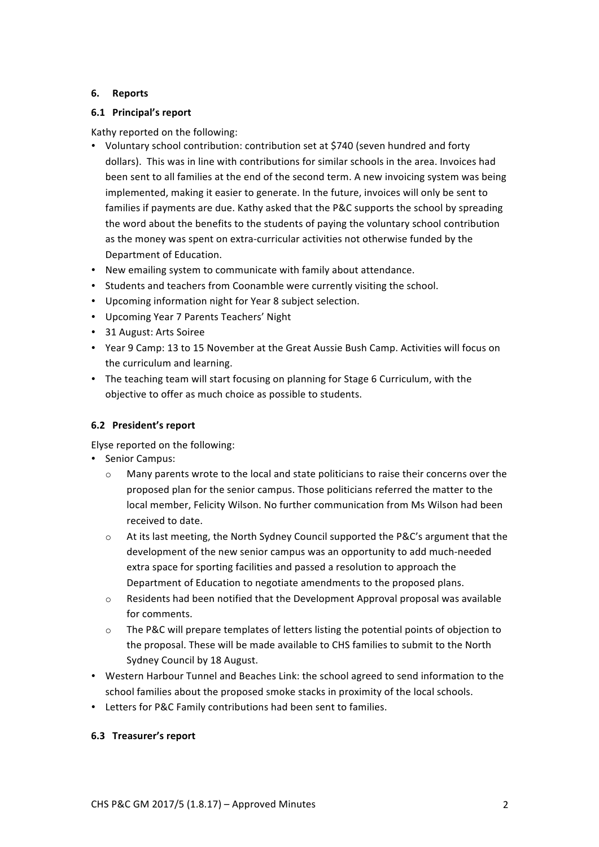# **6. Reports**

# **6.1 Principal's report**

Kathy reported on the following:

- Voluntary school contribution: contribution set at \$740 (seven hundred and forty dollars). This was in line with contributions for similar schools in the area. Invoices had been sent to all families at the end of the second term. A new invoicing system was being implemented, making it easier to generate. In the future, invoices will only be sent to families if payments are due. Kathy asked that the P&C supports the school by spreading the word about the benefits to the students of paying the voluntary school contribution as the money was spent on extra-curricular activities not otherwise funded by the Department of Education.
- New emailing system to communicate with family about attendance.
- Students and teachers from Coonamble were currently visiting the school.
- Upcoming information night for Year 8 subject selection.
- Upcoming Year 7 Parents Teachers' Night
- 31 August: Arts Soiree
- Year 9 Camp: 13 to 15 November at the Great Aussie Bush Camp. Activities will focus on the curriculum and learning.
- The teaching team will start focusing on planning for Stage 6 Curriculum, with the objective to offer as much choice as possible to students.

# **6.2 President's report**

Elyse reported on the following:

- Senior Campus:
	- $\circ$  Many parents wrote to the local and state politicians to raise their concerns over the proposed plan for the senior campus. Those politicians referred the matter to the local member, Felicity Wilson. No further communication from Ms Wilson had been received to date.
	- $\circ$  At its last meeting, the North Sydney Council supported the P&C's argument that the development of the new senior campus was an opportunity to add much-needed extra space for sporting facilities and passed a resolution to approach the Department of Education to negotiate amendments to the proposed plans.
	- $\circ$  Residents had been notified that the Development Approval proposal was available for comments.
	- $\circ$  The P&C will prepare templates of letters listing the potential points of objection to the proposal. These will be made available to CHS families to submit to the North Sydney Council by 18 August.
- Western Harbour Tunnel and Beaches Link: the school agreed to send information to the school families about the proposed smoke stacks in proximity of the local schools.
- Letters for P&C Family contributions had been sent to families.

# **6.3 Treasurer's report**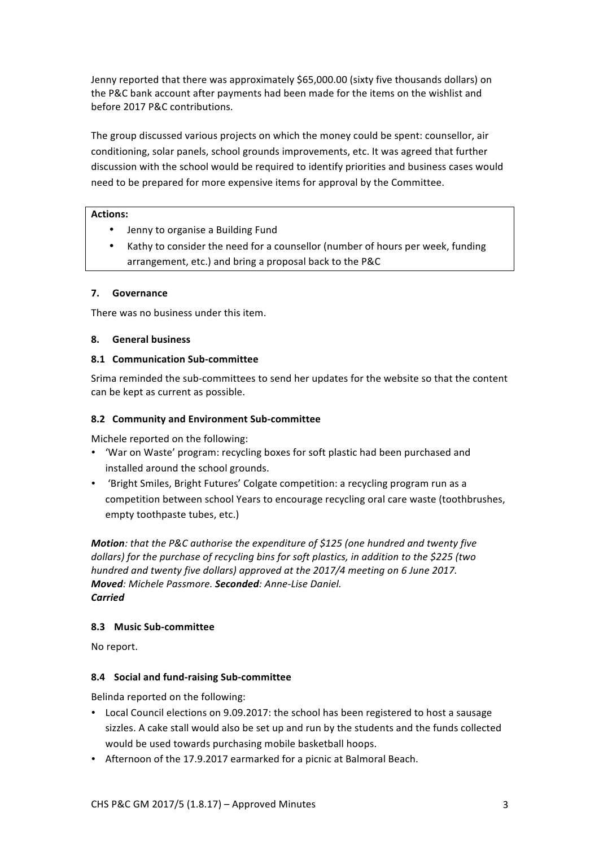Jenny reported that there was approximately \$65,000.00 (sixty five thousands dollars) on the P&C bank account after payments had been made for the items on the wishlist and before 2017 P&C contributions.

The group discussed various projects on which the money could be spent: counsellor, air conditioning, solar panels, school grounds improvements, etc. It was agreed that further discussion with the school would be required to identify priorities and business cases would need to be prepared for more expensive items for approval by the Committee.

## Actions:

- Jenny to organise a Building Fund
- Kathy to consider the need for a counsellor (number of hours per week, funding arrangement, etc.) and bring a proposal back to the P&C

## **7. Governance**

There was no business under this item.

### **8. General business**

### **8.1 Communication Sub-committee**

Srima reminded the sub-committees to send her updates for the website so that the content can be kept as current as possible.

### **8.2 Community and Environment Sub-committee**

Michele reported on the following:

- 'War on Waste' program: recycling boxes for soft plastic had been purchased and installed around the school grounds.
- 'Bright Smiles, Bright Futures' Colgate competition: a recycling program run as a competition between school Years to encourage recycling oral care waste (toothbrushes, empty toothpaste tubes, etc.)

**Motion**: that the P&C authorise the expenditure of \$125 (one hundred and twenty five dollars) for the purchase of recycling bins for soft plastics, in addition to the \$225 (two hundred and twenty five dollars) approved at the 2017/4 meeting on 6 June 2017. *Moved: Michele Passmore. Seconded: Anne-Lise Daniel. Carried*

## **8.3 Music Sub-committee**

No report.

## **8.4 Social and fund-raising Sub-committee**

Belinda reported on the following:

- Local Council elections on 9.09.2017: the school has been registered to host a sausage sizzles. A cake stall would also be set up and run by the students and the funds collected would be used towards purchasing mobile basketball hoops.
- Afternoon of the 17.9.2017 earmarked for a picnic at Balmoral Beach.